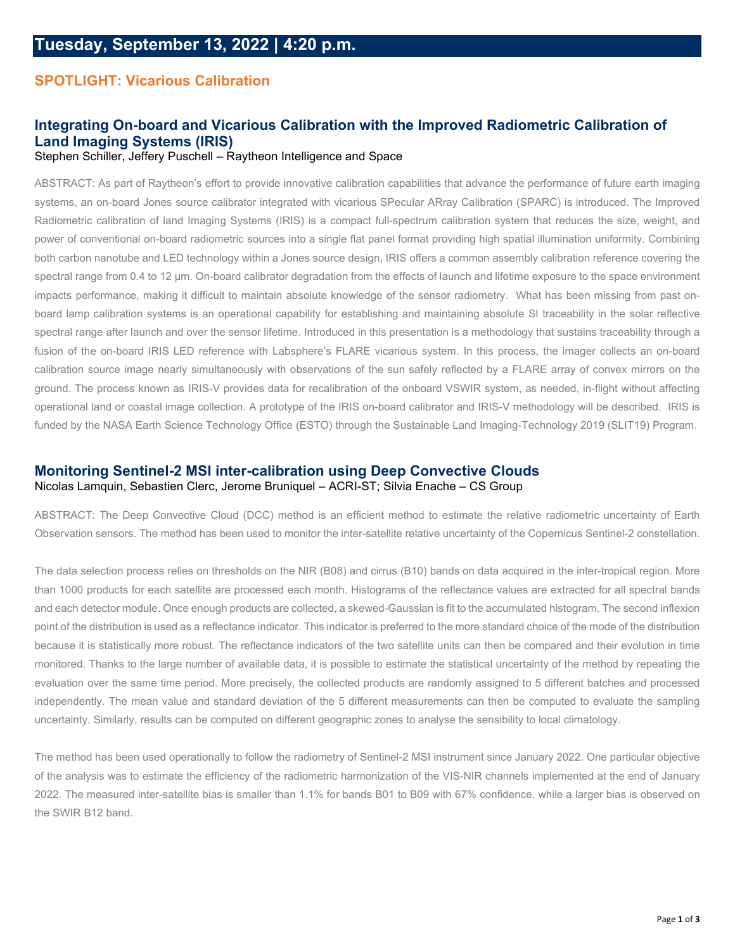### **SPOTLIGHT: Vicarious Calibration**

### **Integrating On-board and Vicarious Calibration with the Improved Radiometric Calibration of Land Imaging Systems (IRIS)**

Stephen Schiller, Jeffery Puschell – Raytheon Intelligence and Space

ABSTRACT: As part of Raytheon's effort to provide innovative calibration capabilities that advance the performance of future earth imaging systems, an on-board Jones source calibrator integrated with vicarious SPecular ARray Calibration (SPARC) is introduced. The Improved Radiometric calibration of land Imaging Systems (IRIS) is a compact full-spectrum calibration system that reduces the size, weight, and power of conventional on-board radiometric sources into a single flat panel format providing high spatial illumination uniformity. Combining both carbon nanotube and LED technology within a Jones source design, IRIS offers a common assembly calibration reference covering the spectral range from 0.4 to 12 µm. On-board calibrator degradation from the effects of launch and lifetime exposure to the space environment impacts performance, making it difficult to maintain absolute knowledge of the sensor radiometry. What has been missing from past onboard lamp calibration systems is an operational capability for establishing and maintaining absolute SI traceability in the solar reflective spectral range after launch and over the sensor lifetime. Introduced in this presentation is a methodology that sustains traceability through a fusion of the on-board IRIS LED reference with Labsphere's FLARE vicarious system. In this process, the imager collects an on-board calibration source image nearly simultaneously with observations of the sun safely reflected by a FLARE array of convex mirrors on the ground. The process known as IRIS-V provides data for recalibration of the onboard VSWIR system, as needed, in-flight without affecting operational land or coastal image collection. A prototype of the IRIS on-board calibrator and IRIS-V methodology will be described. IRIS is funded by the NASA Earth Science Technology Office (ESTO) through the Sustainable Land Imaging-Technology 2019 (SLIT19) Program.

# **Monitoring Sentinel-2 MSI inter-calibration using Deep Convective Clouds**

Nicolas Lamquin, Sebastien Clerc, Jerome Bruniquel – ACRI-ST; Silvia Enache – CS Group

ABSTRACT: The Deep Convective Cloud (DCC) method is an efficient method to estimate the relative radiometric uncertainty of Earth Observation sensors. The method has been used to monitor the inter-satellite relative uncertainty of the Copernicus Sentinel-2 constellation.

The data selection process relies on thresholds on the NIR (B08) and cirrus (B10) bands on data acquired in the inter-tropical region. More than 1000 products for each satellite are processed each month. Histograms of the reflectance values are extracted for all spectral bands and each detector module. Once enough products are collected, a skewed-Gaussian is fit to the accumulated histogram. The second inflexion point of the distribution is used as a reflectance indicator. This indicator is preferred to the more standard choice of the mode of the distribution because it is statistically more robust. The reflectance indicators of the two satellite units can then be compared and their evolution in time monitored. Thanks to the large number of available data, it is possible to estimate the statistical uncertainty of the method by repeating the evaluation over the same time period. More precisely, the collected products are randomly assigned to 5 different batches and processed independently. The mean value and standard deviation of the 5 different measurements can then be computed to evaluate the sampling uncertainty. Similarly, results can be computed on different geographic zones to analyse the sensibility to local climatology.

The method has been used operationally to follow the radiometry of Sentinel-2 MSI instrument since January 2022. One particular objective of the analysis was to estimate the efficiency of the radiometric harmonization of the VIS-NIR channels implemented at the end of January 2022. The measured inter-satellite bias is smaller than 1.1% for bands B01 to B09 with 67% confidence, while a larger bias is observed on the SWIR B12 band.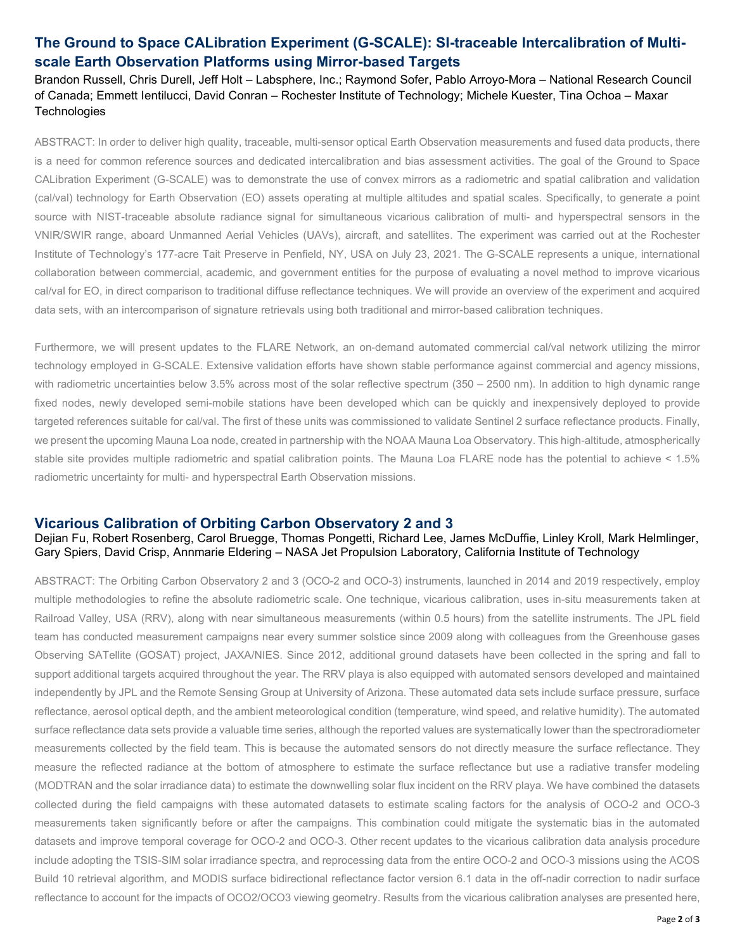## **The Ground to Space CALibration Experiment (G-SCALE): SI-traceable Intercalibration of Multiscale Earth Observation Platforms using Mirror-based Targets**

Brandon Russell, Chris Durell, Jeff Holt – Labsphere, Inc.; Raymond Sofer, Pablo Arroyo-Mora – National Research Council of Canada; Emmett Ientilucci, David Conran – Rochester Institute of Technology; Michele Kuester, Tina Ochoa – Maxar **Technologies** 

ABSTRACT: In order to deliver high quality, traceable, multi-sensor optical Earth Observation measurements and fused data products, there is a need for common reference sources and dedicated intercalibration and bias assessment activities. The goal of the Ground to Space CALibration Experiment (G-SCALE) was to demonstrate the use of convex mirrors as a radiometric and spatial calibration and validation (cal/val) technology for Earth Observation (EO) assets operating at multiple altitudes and spatial scales. Specifically, to generate a point source with NIST-traceable absolute radiance signal for simultaneous vicarious calibration of multi- and hyperspectral sensors in the VNIR/SWIR range, aboard Unmanned Aerial Vehicles (UAVs), aircraft, and satellites. The experiment was carried out at the Rochester Institute of Technology's 177-acre Tait Preserve in Penfield, NY, USA on July 23, 2021. The G-SCALE represents a unique, international collaboration between commercial, academic, and government entities for the purpose of evaluating a novel method to improve vicarious cal/val for EO, in direct comparison to traditional diffuse reflectance techniques. We will provide an overview of the experiment and acquired data sets, with an intercomparison of signature retrievals using both traditional and mirror-based calibration techniques.

Furthermore, we will present updates to the FLARE Network, an on-demand automated commercial cal/val network utilizing the mirror technology employed in G-SCALE. Extensive validation efforts have shown stable performance against commercial and agency missions, with radiometric uncertainties below 3.5% across most of the solar reflective spectrum (350 – 2500 nm). In addition to high dynamic range fixed nodes, newly developed semi-mobile stations have been developed which can be quickly and inexpensively deployed to provide targeted references suitable for cal/val. The first of these units was commissioned to validate Sentinel 2 surface reflectance products. Finally, we present the upcoming Mauna Loa node, created in partnership with the NOAA Mauna Loa Observatory. This high-altitude, atmospherically stable site provides multiple radiometric and spatial calibration points. The Mauna Loa FLARE node has the potential to achieve < 1.5% radiometric uncertainty for multi- and hyperspectral Earth Observation missions.

#### **Vicarious Calibration of Orbiting Carbon Observatory 2 and 3**

Dejian Fu, Robert Rosenberg, Carol Bruegge, Thomas Pongetti, Richard Lee, James McDuffie, Linley Kroll, Mark Helmlinger, Gary Spiers, David Crisp, Annmarie Eldering – NASA Jet Propulsion Laboratory, California Institute of Technology

ABSTRACT: The Orbiting Carbon Observatory 2 and 3 (OCO-2 and OCO-3) instruments, launched in 2014 and 2019 respectively, employ multiple methodologies to refine the absolute radiometric scale. One technique, vicarious calibration, uses in-situ measurements taken at Railroad Valley, USA (RRV), along with near simultaneous measurements (within 0.5 hours) from the satellite instruments. The JPL field team has conducted measurement campaigns near every summer solstice since 2009 along with colleagues from the Greenhouse gases Observing SATellite (GOSAT) project, JAXA/NIES. Since 2012, additional ground datasets have been collected in the spring and fall to support additional targets acquired throughout the year. The RRV playa is also equipped with automated sensors developed and maintained independently by JPL and the Remote Sensing Group at University of Arizona. These automated data sets include surface pressure, surface reflectance, aerosol optical depth, and the ambient meteorological condition (temperature, wind speed, and relative humidity). The automated surface reflectance data sets provide a valuable time series, although the reported values are systematically lower than the spectroradiometer measurements collected by the field team. This is because the automated sensors do not directly measure the surface reflectance. They measure the reflected radiance at the bottom of atmosphere to estimate the surface reflectance but use a radiative transfer modeling (MODTRAN and the solar irradiance data) to estimate the downwelling solar flux incident on the RRV playa. We have combined the datasets collected during the field campaigns with these automated datasets to estimate scaling factors for the analysis of OCO-2 and OCO-3 measurements taken significantly before or after the campaigns. This combination could mitigate the systematic bias in the automated datasets and improve temporal coverage for OCO-2 and OCO-3. Other recent updates to the vicarious calibration data analysis procedure include adopting the TSIS-SIM solar irradiance spectra, and reprocessing data from the entire OCO-2 and OCO-3 missions using the ACOS Build 10 retrieval algorithm, and MODIS surface bidirectional reflectance factor version 6.1 data in the off-nadir correction to nadir surface reflectance to account for the impacts of OCO2/OCO3 viewing geometry. Results from the vicarious calibration analyses are presented here,